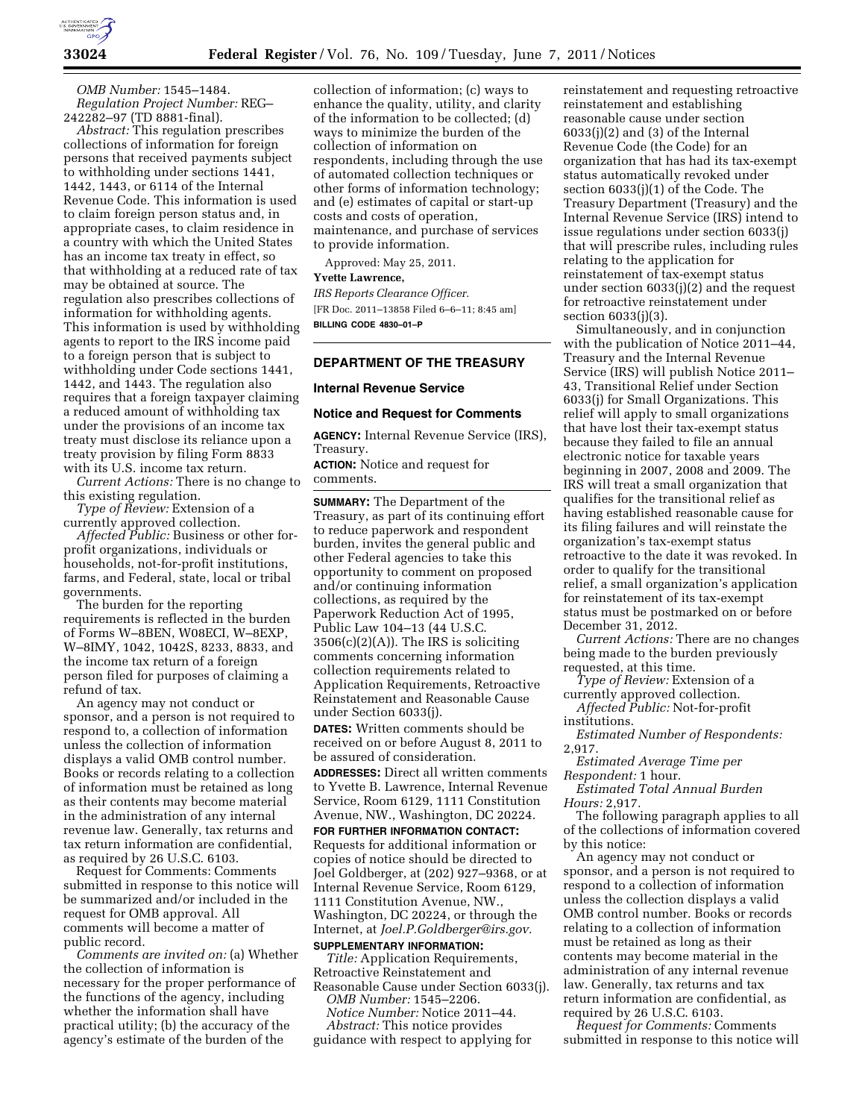

*OMB Number:* 1545–1484. *Regulation Project Number:* REG– 242282–97 (TD 8881-final).

*Abstract:* This regulation prescribes collections of information for foreign persons that received payments subject to withholding under sections 1441, 1442, 1443, or 6114 of the Internal Revenue Code. This information is used to claim foreign person status and, in appropriate cases, to claim residence in a country with which the United States has an income tax treaty in effect, so that withholding at a reduced rate of tax may be obtained at source. The regulation also prescribes collections of information for withholding agents. This information is used by withholding agents to report to the IRS income paid to a foreign person that is subject to withholding under Code sections 1441, 1442, and 1443. The regulation also requires that a foreign taxpayer claiming a reduced amount of withholding tax under the provisions of an income tax treaty must disclose its reliance upon a treaty provision by filing Form 8833 with its U.S. income tax return.

*Current Actions:* There is no change to this existing regulation.

*Type of Review:* Extension of a currently approved collection.

*Affected Public:* Business or other forprofit organizations, individuals or households, not-for-profit institutions, farms, and Federal, state, local or tribal governments.

The burden for the reporting requirements is reflected in the burden of Forms W–8BEN, W08ECI, W–8EXP, W–8IMY, 1042, 1042S, 8233, 8833, and the income tax return of a foreign person filed for purposes of claiming a refund of tax.

An agency may not conduct or sponsor, and a person is not required to respond to, a collection of information unless the collection of information displays a valid OMB control number. Books or records relating to a collection of information must be retained as long as their contents may become material in the administration of any internal revenue law. Generally, tax returns and tax return information are confidential, as required by 26 U.S.C. 6103.

Request for Comments: Comments submitted in response to this notice will be summarized and/or included in the request for OMB approval. All comments will become a matter of public record.

*Comments are invited on:* (a) Whether the collection of information is necessary for the proper performance of the functions of the agency, including whether the information shall have practical utility; (b) the accuracy of the agency's estimate of the burden of the

collection of information; (c) ways to enhance the quality, utility, and clarity of the information to be collected; (d) ways to minimize the burden of the collection of information on respondents, including through the use of automated collection techniques or other forms of information technology; and (e) estimates of capital or start-up costs and costs of operation, maintenance, and purchase of services to provide information.

Approved: May 25, 2011. **Yvette Lawrence,**  *IRS Reports Clearance Officer.*  [FR Doc. 2011–13858 Filed 6–6–11; 8:45 am] **BILLING CODE 4830–01–P** 

## **DEPARTMENT OF THE TREASURY**

#### **Internal Revenue Service**

#### **Notice and Request for Comments**

**AGENCY:** Internal Revenue Service (IRS), Treasury.

**ACTION:** Notice and request for comments.

**SUMMARY:** The Department of the Treasury, as part of its continuing effort to reduce paperwork and respondent burden, invites the general public and other Federal agencies to take this opportunity to comment on proposed and/or continuing information collections, as required by the Paperwork Reduction Act of 1995, Public Law 104–13 (44 U.S.C. 3506(c)(2)(A)). The IRS is soliciting comments concerning information collection requirements related to Application Requirements, Retroactive Reinstatement and Reasonable Cause under Section 6033(j).

**DATES:** Written comments should be received on or before August 8, 2011 to be assured of consideration.

**ADDRESSES:** Direct all written comments to Yvette B. Lawrence, Internal Revenue Service, Room 6129, 1111 Constitution Avenue, NW., Washington, DC 20224.

**FOR FURTHER INFORMATION CONTACT:**  Requests for additional information or copies of notice should be directed to Joel Goldberger, at (202) 927–9368, or at Internal Revenue Service, Room 6129, 1111 Constitution Avenue, NW., Washington, DC 20224, or through the Internet, at *[Joel.P.Goldberger@irs.gov.](mailto:Joel.P.Goldberger@irs.gov)* 

## **SUPPLEMENTARY INFORMATION:**

*Title:* Application Requirements, Retroactive Reinstatement and Reasonable Cause under Section 6033(j).

*OMB Number:* 1545–2206.

*Notice Number:* Notice 2011–44. *Abstract:* This notice provides

guidance with respect to applying for

reinstatement and requesting retroactive reinstatement and establishing reasonable cause under section  $6033(j)(2)$  and  $(3)$  of the Internal Revenue Code (the Code) for an organization that has had its tax-exempt status automatically revoked under section 6033(j)(1) of the Code. The Treasury Department (Treasury) and the Internal Revenue Service (IRS) intend to issue regulations under section 6033(j) that will prescribe rules, including rules relating to the application for reinstatement of tax-exempt status under section 6033(j)(2) and the request for retroactive reinstatement under section 6033(j)(3).

Simultaneously, and in conjunction with the publication of Notice 2011–44, Treasury and the Internal Revenue Service (IRS) will publish Notice 2011– 43, Transitional Relief under Section 6033(j) for Small Organizations. This relief will apply to small organizations that have lost their tax-exempt status because they failed to file an annual electronic notice for taxable years beginning in 2007, 2008 and 2009. The IRS will treat a small organization that qualifies for the transitional relief as having established reasonable cause for its filing failures and will reinstate the organization's tax-exempt status retroactive to the date it was revoked. In order to qualify for the transitional relief, a small organization's application for reinstatement of its tax-exempt status must be postmarked on or before December 31, 2012.

*Current Actions:* There are no changes being made to the burden previously requested, at this time.

*Type of Review:* Extension of a currently approved collection.

*Affected Public:* Not-for-profit institutions.

*Estimated Number of Respondents:*  2,917.

*Estimated Average Time per Respondent:* 1 hour.

*Estimated Total Annual Burden Hours:* 2,917.

The following paragraph applies to all of the collections of information covered by this notice:

An agency may not conduct or sponsor, and a person is not required to respond to a collection of information unless the collection displays a valid OMB control number. Books or records relating to a collection of information must be retained as long as their contents may become material in the administration of any internal revenue law. Generally, tax returns and tax return information are confidential, as required by 26 U.S.C. 6103.

*Request for Comments:* Comments submitted in response to this notice will